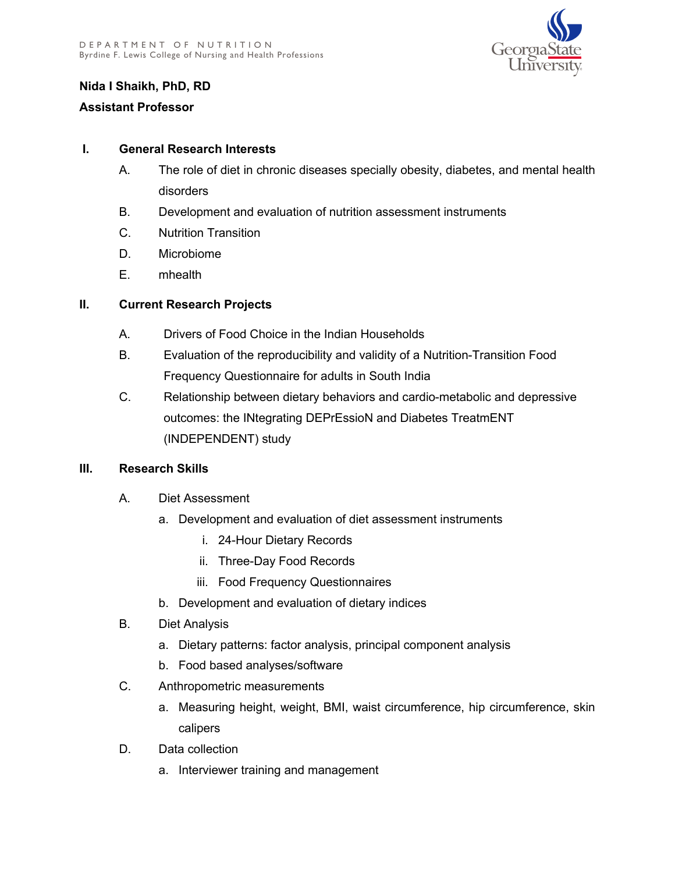

# **Nida I Shaikh, PhD, RD**

### **Assistant Professor**

### **I. General Research Interests**

- A. The role of diet in chronic diseases specially obesity, diabetes, and mental health disorders
- B. Development and evaluation of nutrition assessment instruments
- C. Nutrition Transition
- D. Microbiome
- E. mhealth

# **II. Current Research Projects**

- A. Drivers of Food Choice in the Indian Households
- B. Evaluation of the reproducibility and validity of a Nutrition-Transition Food Frequency Questionnaire for adults in South India
- C. Relationship between dietary behaviors and cardio-metabolic and depressive outcomes: the INtegrating DEPrEssioN and Diabetes TreatmENT (INDEPENDENT) study

# **III. Research Skills**

- A. Diet Assessment
	- a. Development and evaluation of diet assessment instruments
		- i. 24-Hour Dietary Records
		- ii. Three-Day Food Records
		- iii. Food Frequency Questionnaires
	- b. Development and evaluation of dietary indices
- B. Diet Analysis
	- a. Dietary patterns: factor analysis, principal component analysis
	- b. Food based analyses/software
- C. Anthropometric measurements
	- a. Measuring height, weight, BMI, waist circumference, hip circumference, skin calipers
- D. Data collection
	- a. Interviewer training and management